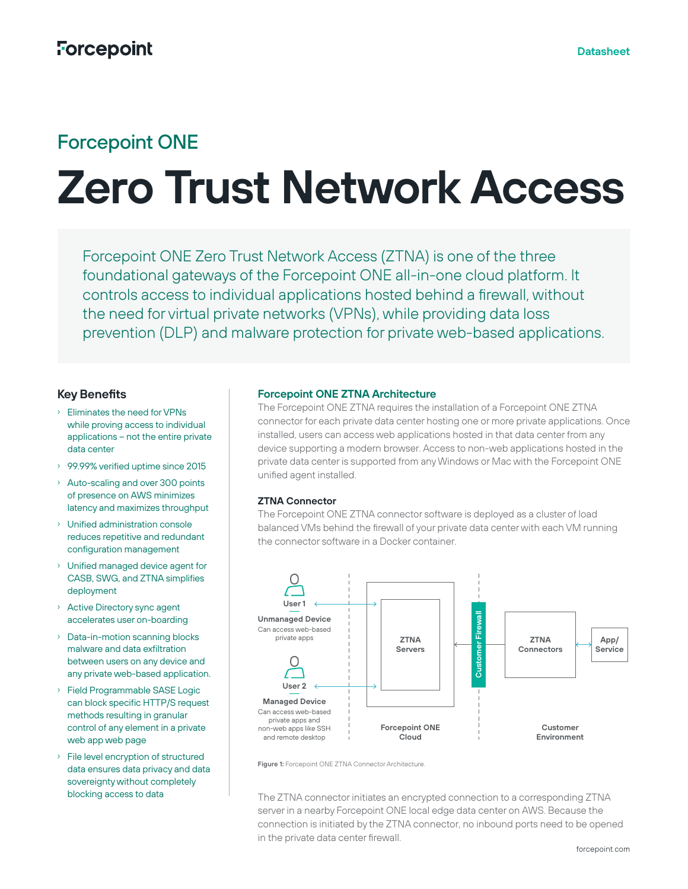# Forcepoint ONE

# **Zero Trust Network Access**

Forcepoint ONE Zero Trust Network Access (ZTNA) is one of the three foundational gateways of the Forcepoint ONE all-in-one cloud platform. It controls access to individual applications hosted behind a firewall, without the need for virtual private networks (VPNs), while providing data loss prevention (DLP) and malware protection for private web-based applications.

# **Key Benefits**

- › Eliminates the need for VPNs while proving access to individual applications – not the entire private data center
- › 99.99% verified uptime since 2015
- › Auto-scaling and over 300 points of presence on AWS minimizes latency and maximizes throughput
- › Unified administration console reduces repetitive and redundant configuration management
- › Unified managed device agent for CASB, SWG, and ZTNA simplifies deployment
- › Active Directory sync agent accelerates user on-boarding
- › Data-in-motion scanning blocks malware and data exfiltration between users on any device and any private web-based application.
- › Field Programmable SASE Logic can block specific HTTP/S request methods resulting in granular control of any element in a private web app web page
- › File level encryption of structured data ensures data privacy and data sovereignty without completely blocking access to data

#### **Forcepoint ONE ZTNA Architecture**

The Forcepoint ONE ZTNA requires the installation of a Forcepoint ONE ZTNA connector for each private data center hosting one or more private applications. Once installed, users can access web applications hosted in that data center from any device supporting a modern browser. Access to non-web applications hosted in the private data center is supported from any Windows or Mac with the Forcepoint ONE unified agent installed.

### **ZTNA Connector**

The Forcepoint ONE ZTNA connector software is deployed as a cluster of load balanced VMs behind the firewall of your private data center with each VM running the connector software in a Docker container.



**Figure 1:** Forcepoint ONE ZTNA Connector Architecture.

The ZTNA connector initiates an encrypted connection to a corresponding ZTNA server in a nearby Forcepoint ONE local edge data center on AWS. Because the connection is initiated by the ZTNA connector, no inbound ports need to be opened in the private data center firewall.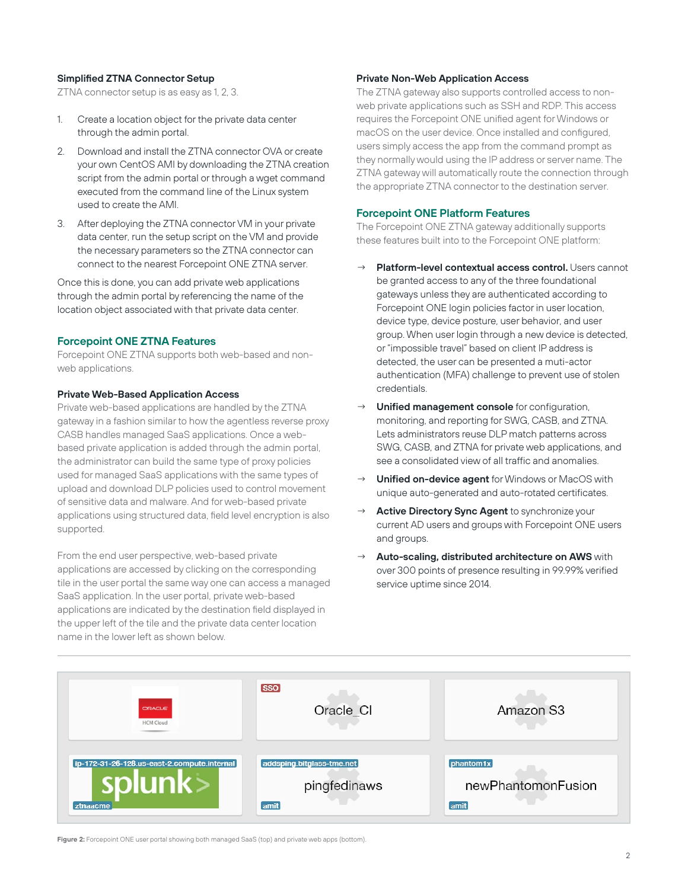#### **Simplified ZTNA Connector Setup**

ZTNA connector setup is as easy as 1, 2, 3.

- 1. Create a location object for the private data center through the admin portal.
- 2. Download and install the ZTNA connector OVA or create your own CentOS AMI by downloading the ZTNA creation script from the admin portal or through a wget command executed from the command line of the Linux system used to create the AMI.
- 3. After deploying the ZTNA connector VM in your private data center, run the setup script on the VM and provide the necessary parameters so the ZTNA connector can connect to the nearest Forcepoint ONE ZTNA server.

Once this is done, you can add private web applications through the admin portal by referencing the name of the location object associated with that private data center.

## **Forcepoint ONE ZTNA Features**

Forcepoint ONE ZTNA supports both web-based and nonweb applications.

#### **Private Web-Based Application Access**

Private web-based applications are handled by the ZTNA gateway in a fashion similar to how the agentless reverse proxy CASB handles managed SaaS applications. Once a webbased private application is added through the admin portal, the administrator can build the same type of proxy policies used for managed SaaS applications with the same types of upload and download DLP policies used to control movement of sensitive data and malware. And for web-based private applications using structured data, field level encryption is also supported.

From the end user perspective, web-based private applications are accessed by clicking on the corresponding tile in the user portal the same way one can access a managed SaaS application. In the user portal, private web-based applications are indicated by the destination field displayed in the upper left of the tile and the private data center location name in the lower left as shown below.

#### **Private Non-Web Application Access**

The ZTNA gateway also supports controlled access to nonweb private applications such as SSH and RDP. This access requires the Forcepoint ONE unified agent for Windows or macOS on the user device. Once installed and configured, users simply access the app from the command prompt as they normally would using the IP address or server name. The ZTNA gateway will automatically route the connection through the appropriate ZTNA connector to the destination server.

#### **Forcepoint ONE Platform Features**

The Forcepoint ONE ZTNA gateway additionally supports these features built into to the Forcepoint ONE platform:

- **Platform-level contextual access control.** Users cannot be granted access to any of the three foundational gateways unless they are authenticated according to Forcepoint ONE login policies factor in user location, device type, device posture, user behavior, and user group. When user login through a new device is detected, or "impossible travel" based on client IP address is detected, the user can be presented a muti-actor authentication (MFA) challenge to prevent use of stolen credentials.
- **Unified management console** for configuration, monitoring, and reporting for SWG, CASB, and ZTNA. Lets administrators reuse DLP match patterns across SWG, CASB, and ZTNA for private web applications, and see a consolidated view of all traffic and anomalies.
- → **Unified on-device agent** for Windows or MacOS with unique auto-generated and auto-rotated certificates.
- Active Directory Sync Agent to synchronize your current AD users and groups with Forcepoint ONE users and groups.
- Auto-scaling, distributed architecture on AWS with over 300 points of presence resulting in 99.99% verified service uptime since 2014.



**Figure 2:** Forcepoint ONE user portal showing both managed SaaS (top) and private web apps (bottom).